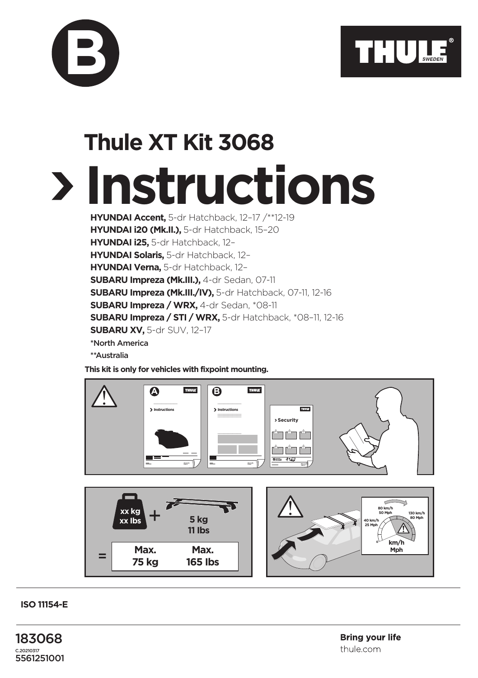

## **Instructions Thule XT Kit 3068**

**HYUNDAI Accent,** 5-dr Hatchback, 12–17 /\*\*12-19 **HYUNDAI i20 (Mk.II.),** 5-dr Hatchback, 15–20 **HYUNDAI i25,** 5-dr Hatchback, 12– **HYUNDAI Solaris,** 5-dr Hatchback, 12– **HYUNDAI Verna,** 5-dr Hatchback, 12– **SUBARU Impreza (Mk.III.),** 4-dr Sedan, 07-11 **SUBARU Impreza (Mk.III./IV),** 5-dr Hatchback, 07-11, 12-16 **SUBARU Impreza / WRX,** 4-dr Sedan, \*08-11 **SUBARU Impreza / STI / WRX,** 5-dr Hatchback, \*08–11, 12-16 **SUBARU XV,** 5-dr SUV, 12–17 \*North America

**B**

\*\*Australia

**This kit is only for vehicles with fixpoint mounting.**



**ISO 11154-E**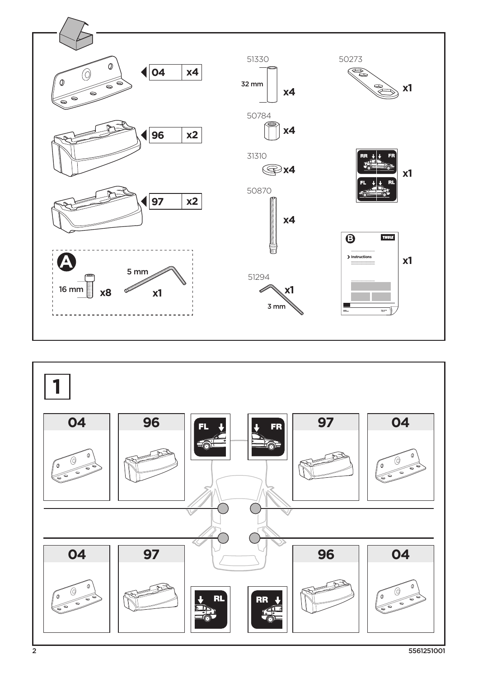

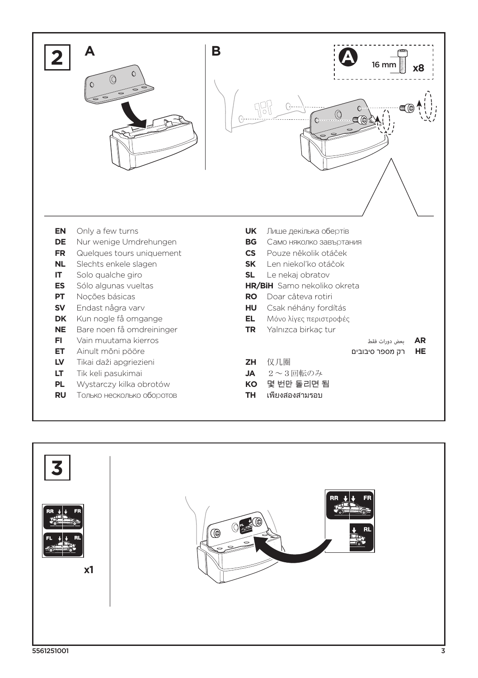